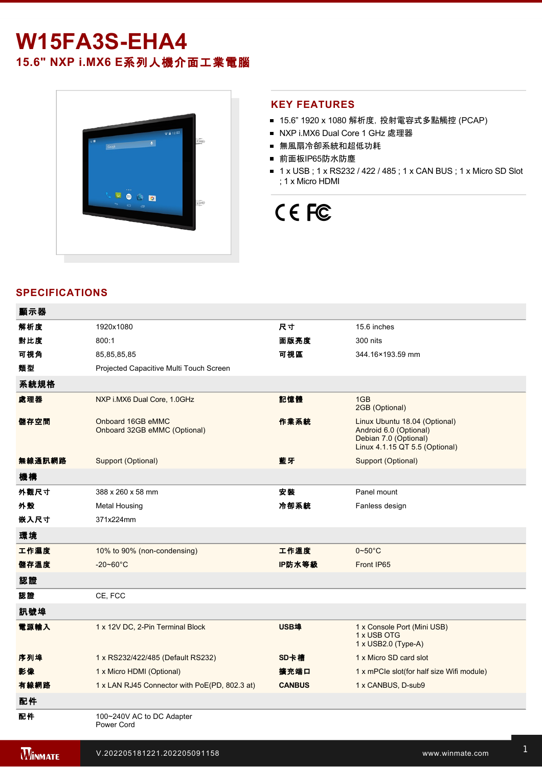# **W15FA3SEHA4**

**15.6" NXP i.MX6 E**系列人機介面工業電腦



### **KEY FEATURES**

- 15.6" 1920 x 1080 解析度, 投射電容式多點觸控 (PCAP)
- NXP i.MX6 Dual Core 1 GHz 處理器
- 無風扇冷卻系統和超低功耗
- 前面板IP65防水防塵
- 1 x USB; 1 x RS232 / 422 / 485; 1 x CAN BUS; 1 x Micro SD Slot ; 1 x Micro HDMI

# CE FC

## **SPECIFICATIONS**

電源

| 顯示器            |                                                   |               |                                                                                                                    |
|----------------|---------------------------------------------------|---------------|--------------------------------------------------------------------------------------------------------------------|
| 解析度            | 1920x1080                                         | 尺寸            | 15.6 inches                                                                                                        |
| 對比度            | 800:1                                             | 面版亮度          | 300 nits                                                                                                           |
| 可視角            | 85,85,85,85                                       | 可視區           | 344.16×193.59 mm                                                                                                   |
| 類型             | Projected Capacitive Multi Touch Screen           |               |                                                                                                                    |
| 系統規格           |                                                   |               |                                                                                                                    |
| 處理器            | NXP i.MX6 Dual Core, 1.0GHz                       | 記憶體           | 1GB<br>2GB (Optional)                                                                                              |
| 儲存空間           | Onboard 16GB eMMC<br>Onboard 32GB eMMC (Optional) | 作業系統          | Linux Ubuntu 18.04 (Optional)<br>Android 6.0 (Optional)<br>Debian 7.0 (Optional)<br>Linux 4.1.15 QT 5.5 (Optional) |
| 無線通訊網路         | Support (Optional)                                | 藍牙            | Support (Optional)                                                                                                 |
| 機構             |                                                   |               |                                                                                                                    |
| 外觀尺寸           | 388 x 260 x 58 mm                                 | 安裝            | Panel mount                                                                                                        |
| 外殼             | <b>Metal Housing</b>                              | 冷卻系統          | Fanless design                                                                                                     |
| 嵌入尺寸           | 371x224mm                                         |               |                                                                                                                    |
| 環境             |                                                   |               |                                                                                                                    |
| 工作濕度           | 10% to 90% (non-condensing)                       | 工作溫度          | $0 - 50^{\circ}$ C                                                                                                 |
| 儲存溫度           | $-20 - 60^{\circ}C$                               | IP防水等級        | Front IP65                                                                                                         |
| 認證             |                                                   |               |                                                                                                                    |
| 認證             | CE, FCC                                           |               |                                                                                                                    |
| 訊號埠            |                                                   |               |                                                                                                                    |
| 電源輸入           | 1 x 12V DC, 2-Pin Terminal Block                  | USB埠          | 1 x Console Port (Mini USB)<br>1 x USB OTG<br>1 x USB2.0 (Type-A)                                                  |
| 序列埠            | 1 x RS232/422/485 (Default RS232)                 | SD卡槽          | 1 x Micro SD card slot                                                                                             |
| 影像             | 1 x Micro HDMI (Optional)                         | 擴充端口          | 1 x mPCle slot(for half size Wifi module)                                                                          |
| 有線網路           | 1 x LAN RJ45 Connector with PoE(PD, 802.3 at)     | <b>CANBUS</b> | 1 x CANBUS, D-sub9                                                                                                 |
| 配件             |                                                   |               |                                                                                                                    |
| 配件             | 100~240V AC to DC Adapter<br>Power Cord           |               |                                                                                                                    |
| <b>WINMATE</b> | V.202205181221.202205091158                       |               | www.winmate.com                                                                                                    |